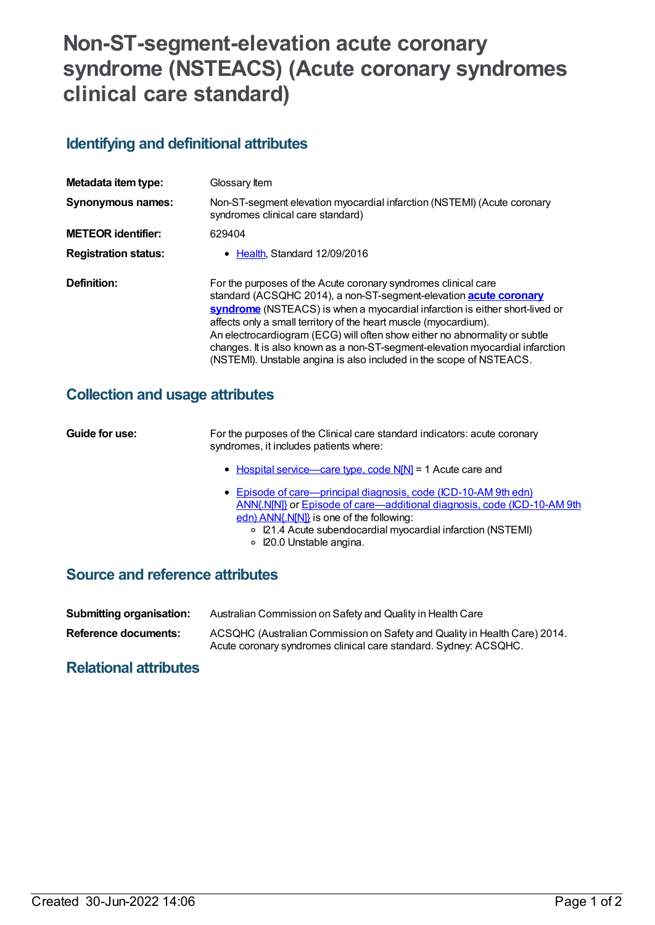# **Non-ST-segment-elevation acute coronary syndrome (NSTEACS) (Acute coronary syndromes clinical care standard)**

## **Identifying and definitional attributes**

| Metadata item type:         | Glossary Item                                                                                                                                                                                                                                                                                                                                                                                                                                                                                                                       |
|-----------------------------|-------------------------------------------------------------------------------------------------------------------------------------------------------------------------------------------------------------------------------------------------------------------------------------------------------------------------------------------------------------------------------------------------------------------------------------------------------------------------------------------------------------------------------------|
| <b>Synonymous names:</b>    | Non-ST-segment elevation myocardial infarction (NSTEMI) (Acute coronary<br>syndromes clinical care standard)                                                                                                                                                                                                                                                                                                                                                                                                                        |
| <b>METEOR identifier:</b>   | 629404                                                                                                                                                                                                                                                                                                                                                                                                                                                                                                                              |
| <b>Registration status:</b> | • Health, Standard 12/09/2016                                                                                                                                                                                                                                                                                                                                                                                                                                                                                                       |
| Definition:                 | For the purposes of the Acute coronary syndromes clinical care<br>standard (ACSQHC 2014), a non-ST-segment-elevation <b>acute coronary</b><br>syndrome (NSTEACS) is when a myocardial infarction is either short-lived or<br>affects only a small territory of the heart muscle (myocardium).<br>An electrocardiogram (ECG) will often show either no abnormality or subtle<br>changes. It is also known as a non-ST-segment-elevation myocardial infarction<br>(NSTEMI). Unstable angina is also included in the scope of NSTEACS. |

### **Collection and usage attributes**

| Guide for use:                         | For the purposes of the Clinical care standard indicators: acute coronary<br>syndromes, it includes patients where:                                                                                                                                                                    |
|----------------------------------------|----------------------------------------------------------------------------------------------------------------------------------------------------------------------------------------------------------------------------------------------------------------------------------------|
|                                        | • Hospital service—care type, code N[N] = 1 Acute care and                                                                                                                                                                                                                             |
|                                        | • Episode of care—principal diagnosis, code (ICD-10-AM 9th edn)<br>ANN{.N[N]} or Episode of care—additional diagnosis, code (ICD-10-AM 9th<br>edn) ANN{.N[N]} is one of the following:<br>○ I21.4 Acute subendocardial myocardial infarction (NSTEMI)<br>$\circ$ 20.0 Unstable angina. |
| <b>Source and reference attributes</b> |                                                                                                                                                                                                                                                                                        |

**Submitting organisation:** Australian Commission on Safety and Quality in Health Care

**Reference documents:** ACSQHC (Australian Commission on Safety and Quality in Health Care) 2014. Acute coronary syndromes clinical care standard. Sydney: ACSQHC.

### **Relational attributes**